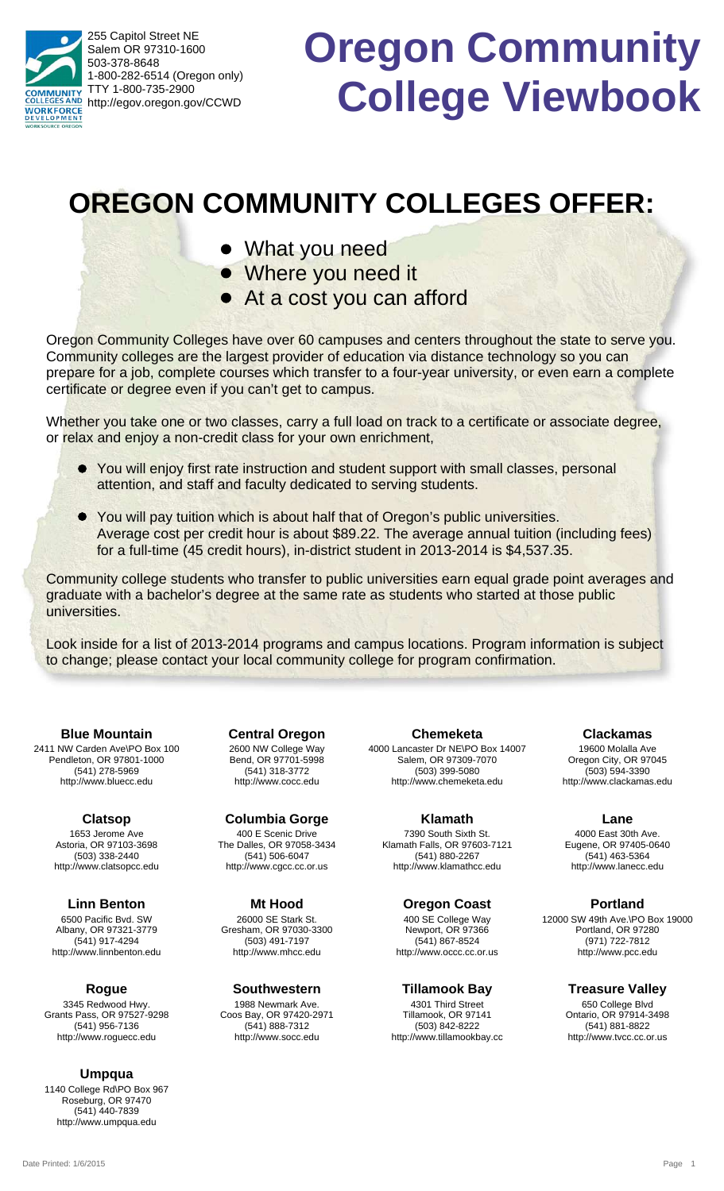255 Capitol Street NE Salem OR 97310-1600 503-378-8648 1-800-282-6514 (Oregon only) TTY 1-800-735-2900 **NUNITY** http://egov.oregon.gov/CCWD **WORKFORCE** 

# **Oregon Community College Viewbook**

## **OREGON COMMUNITY COLLEGES OFFER:**

- What you need
- Where you need it
- At a cost you can afford

Oregon Community Colleges have over 60 campuses and centers throughout the state to serve you. Community colleges are the largest provider of education via distance technology so you can prepare for a job, complete courses which transfer to a four-year university, or even earn a complete certificate or degree even if you can't get to campus.

Whether you take one or two classes, carry a full load on track to a certificate or associate degree, or relax and enjoy a non-credit class for your own enrichment,

- You will enjoy first rate instruction and student support with small classes, personal l attention, and staff and faculty dedicated to serving students.
- You will pay tuition which is about half that of Oregon's public universities. l Average cost per credit hour is about \$89.22. The average annual tuition (including fees) for a full-time (45 credit hours), in-district student in 2013-2014 is \$4,537.35.

Community college students who transfer to public universities earn equal grade point averages and graduate with a bachelor's degree at the same rate as students who started at those public universities.

Look inside for a list of 2013-2014 programs and campus locations. Program information is subject to change; please contact your local community college for program confirmation.

2411 NW Carden Ave\PO Box 100 Pendleton, OR 97801-1000 (541) 278-5969 http://www.bluecc.edu **Blue Mountain**

> 1653 Jerome Ave Astoria, OR 97103-3698 (503) 338-2440 http://www.clatsopcc.edu **Clatsop**

6500 Pacific Bvd. SW Albany, OR 97321-3779 (541) 917-4294 http://www.linnbenton.edu **Linn Benton**

3345 Redwood Hwy. Grants Pass, OR 97527-9298 (541) 956-7136 http://www.roguecc.edu **Rogue**

#### **Umpqua**

1140 College Rd\PO Box 967 Roseburg, OR 97470 (541) 440-7839 http://www.umpqua.edu

2600 NW College Way Bend, OR 97701-5998 (541) 318-3772 http://www.cocc.edu **Central Oregon**

400 E Scenic Drive The Dalles, OR 97058-3434 (541) 506-6047 http://www.cgcc.cc.or.us **Columbia Gorge**

26000 SE Stark St. Gresham, OR 97030-3300 (503) 491-7197 http://www.mhcc.edu **Mt Hood**

1988 Newmark Ave. Coos Bay, OR 97420-2971 (541) 888-7312 http://www.socc.edu **Southwestern**

4000 Lancaster Dr NE\PO Box 14007 Salem, OR 97309-7070 (503) 399-5080 http://www.chemeketa.edu **Chemeketa**

7390 South Sixth St. Klamath Falls, OR 97603-7121 (541) 880-2267 http://www.klamathcc.edu **Klamath**

**Oregon Coast**

400 SE College Way Newport, OR 97366 (541) 867-8524 http://www.occc.cc.or.us

4301 Third Street Tillamook, OR 97141 **Tillamook Bay**

(503) 842-8222 http://www.tillamookbay.cc

19600 Molalla Ave Oregon City, OR 97045 (503) 594-3390 http://www.clackamas.edu **Clackamas**

4000 East 30th Ave. Eugene, OR 97405-0640 (541) 463-5364 **Lane**

http://www.lanecc.edu

**Portland**

12000 SW 49th Ave.\PO Box 19000 Portland, OR 97280 (971) 722-7812 http://www.pcc.edu

**Treasure Valley**

650 College Blvd Ontario, OR 97914-3498 (541) 881-8822 http://www.tvcc.cc.or.us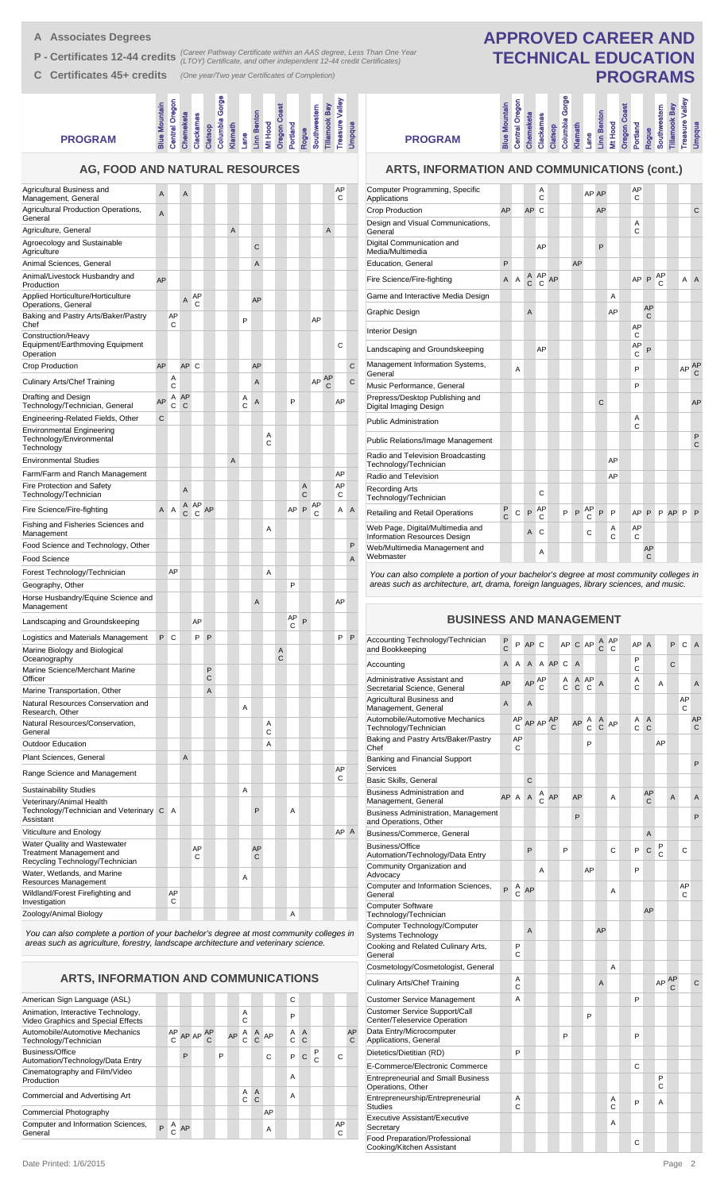**A Associates Degrees**

**P - Certificates 12-44 credits** (Career Pathway Certificate within an AAS degree, Less Than One Year<br> **P - Certificates 12-44 credits** (LTOY) Certificate, and other independent 12-44 credit Certificates)

**C Certificates 45+ credits** *(One year/Two year Certificates of Completion)*

#### ogue<br><sub>Duthwestern</sub><br>Ilamook Bay<br><sub>easure Valley</sub><br>mpqua umbia Gorge **Columbia Gorge** ntral Oregon **Treasure Valley Central Oregon Blue Mountain** Mountain **Oregon Coast Tillamook Bay Southwestern kamas Linn Benton Chemeketa Clackamas Klamath Lane Mt Hood Portland Rogue Clatsop PROGRAM AG, FOOD AND NATURAL RESOURCES**

| Agricultural Business and<br>Management, General                                                   | A  |                | A         |         |        |   |        |         |        |        |         |        |         |   | AP<br>С |   |
|----------------------------------------------------------------------------------------------------|----|----------------|-----------|---------|--------|---|--------|---------|--------|--------|---------|--------|---------|---|---------|---|
| Agricultural Production Operations,<br>General                                                     | A  |                |           |         |        |   |        |         |        |        |         |        |         |   |         |   |
| Agriculture, General                                                                               |    |                |           |         |        | A |        |         |        |        |         |        |         | A |         |   |
| Agroecology and Sustainable<br>Agriculture                                                         |    |                |           |         |        |   |        | С       |        |        |         |        |         |   |         |   |
| Animal Sciences, General                                                                           |    |                |           |         |        |   |        | A       |        |        |         |        |         |   |         |   |
| Animal/Livestock Husbandry and<br>Production                                                       | AP |                |           |         |        |   |        |         |        |        |         |        |         |   |         |   |
| Applied Horticulture/Horticulture<br>Operations, General                                           |    |                | A         | AP<br>C |        |   |        | AP      |        |        |         |        |         |   |         |   |
| Baking and Pastry Arts/Baker/Pastry<br>Chef                                                        |    | AP<br>С        |           |         |        |   | P      |         |        |        |         |        | AP      |   |         |   |
| Construction/Heavy<br>Equipment/Earthmoving Equipment<br>Operation                                 |    |                |           |         |        |   |        |         |        |        |         |        |         |   | C       |   |
| Crop Production                                                                                    | AP |                | AP        | C       |        |   |        | AP      |        |        |         |        |         |   |         | C |
| <b>Culinary Arts/Chef Training</b>                                                                 |    | Α<br>C         |           |         |        |   |        | A       |        |        |         |        | AP AP   | С |         | C |
| Drafting and Design<br>Technology/Technician, General                                              | AP | C              | A AP<br>C |         |        |   | Α<br>C | A       |        |        | P       |        |         |   | AP      |   |
| Engineering-Related Fields, Other                                                                  | C  |                |           |         |        |   |        |         |        |        |         |        |         |   |         |   |
| <b>Environmental Engineering</b><br>Technology/Environmental<br>Technology                         |    |                |           |         |        |   |        |         | A<br>C |        |         |        |         |   |         |   |
| <b>Environmental Studies</b>                                                                       |    |                |           |         |        | A |        |         |        |        |         |        |         |   |         |   |
| Farm/Farm and Ranch Management                                                                     |    |                |           |         |        |   |        |         |        |        |         |        |         |   | AP      |   |
| Fire Protection and Safety<br>Technology/Technician                                                |    |                | A         |         |        |   |        |         |        |        |         | A<br>C |         |   | AP<br>С |   |
| Fire Science/Fire-fighting                                                                         | A  | Α              | Α<br>C    | AP<br>C | AP     |   |        |         |        |        | AP      | P      | AP<br>С |   | Α       | A |
| Fishing and Fisheries Sciences and<br>Management                                                   |    |                |           |         |        |   |        |         | Α      |        |         |        |         |   |         |   |
| Food Science and Technology, Other                                                                 |    |                |           |         |        |   |        |         |        |        |         |        |         |   |         | P |
| Food Science                                                                                       |    |                |           |         |        |   |        |         |        |        |         |        |         |   |         | A |
| Forest Technology/Technician                                                                       |    | AP             |           |         |        |   |        |         | Α      |        |         |        |         |   |         |   |
| Geography, Other                                                                                   |    |                |           |         |        |   |        |         |        |        | P       |        |         |   |         |   |
| Horse Husbandry/Equine Science and<br>Management                                                   |    |                |           |         |        |   |        | A       |        |        |         |        |         |   | AP      |   |
| Landscaping and Groundskeeping                                                                     |    |                |           | AP      |        |   |        |         |        |        | AP<br>C | P      |         |   |         |   |
| Logistics and Materials Management                                                                 | P  | C              |           | P       | P      |   |        |         |        |        |         |        |         |   | P       | P |
| Marine Biology and Biological<br>Oceanography                                                      |    |                |           |         |        |   |        |         |        | Α<br>C |         |        |         |   |         |   |
| Marine Science/Merchant Marine<br>Officer                                                          |    |                |           |         | P<br>С |   |        |         |        |        |         |        |         |   |         |   |
| Marine Transportation, Other                                                                       |    |                |           |         | A      |   |        |         |        |        |         |        |         |   |         |   |
| Natural Resources Conservation and<br>Research, Other                                              |    |                |           |         |        |   | Α      |         |        |        |         |        |         |   |         |   |
| Natural Resources/Conservation,<br>General                                                         |    |                |           |         |        |   |        |         | Α<br>C |        |         |        |         |   |         |   |
| <b>Outdoor Education</b>                                                                           |    |                |           |         |        |   |        |         | A      |        |         |        |         |   |         |   |
| Plant Sciences, General                                                                            |    |                | A         |         |        |   |        |         |        |        |         |        |         |   |         |   |
| Range Science and Management                                                                       |    |                |           |         |        |   |        |         |        |        |         |        |         |   | AP<br>С |   |
| <b>Sustainability Studies</b>                                                                      |    |                |           |         |        |   | A      |         |        |        |         |        |         |   |         |   |
| Veterinary/Animal Health<br>Technology/Technician and Veterinary C<br>Assistant                    |    | $\overline{A}$ |           |         |        |   |        | P       |        |        | Α       |        |         |   |         |   |
| Viticulture and Enology                                                                            |    |                |           |         |        |   |        |         |        |        |         |        |         |   | AP A    |   |
| Water Quality and Wastewater<br><b>Treatment Management and</b><br>Recycling Technology/Technician |    |                |           | AP<br>C |        |   |        | AP<br>С |        |        |         |        |         |   |         |   |
| Water, Wetlands, and Marine<br>Resources Management                                                |    |                |           |         |        |   | Α      |         |        |        |         |        |         |   |         |   |
| Wildland/Forest Firefighting and<br>Investigation                                                  |    | AP<br>C        |           |         |        |   |        |         |        |        |         |        |         |   |         |   |
| Zoology/Animal Biology                                                                             |    |                |           |         |        |   |        |         |        |        | Α       |        |         |   |         |   |
|                                                                                                    |    |                |           |         |        |   |        |         |        |        |         |        |         |   |         |   |

*You can also complete a portion of your bachelor's degree at most community colleges in areas such as agriculture, forestry, landscape architecture and veterinary science.*

**ARTS, INFORMATION AND COMMUNICATIONS**

| American Sign Language (ASL)                                             |                 |    |    |   |    |        |                     |    | C              |                                |        |         |                    |
|--------------------------------------------------------------------------|-----------------|----|----|---|----|--------|---------------------|----|----------------|--------------------------------|--------|---------|--------------------|
| Animation, Interactive Technology,<br>Video Graphics and Special Effects |                 |    |    |   |    | A<br>C |                     |    | P              |                                |        |         |                    |
| Automobile/Automotive Mechanics<br>Technology/Technician                 | $AP$ AP AP<br>Ċ |    | AP |   | AP | A      | $\alpha$            | AP | Α<br>C         | $\overline{A}$<br>$\mathsf{C}$ |        |         | AP<br>$\mathbf{C}$ |
| <b>Business/Office</b><br>Automation/Technology/Data Entry               |                 | P  |    | P |    |        |                     | C  | P              | C                              | P<br>C | C       |                    |
| Cinematography and Film/Video<br>Production                              |                 |    |    |   |    |        |                     |    | $\overline{A}$ |                                |        |         |                    |
| Commercial and Advertising Art                                           |                 |    |    |   |    | Α<br>C | $\overline{A}$<br>C |    | A              |                                |        |         |                    |
| Commercial Photography                                                   |                 |    |    |   |    |        |                     | AP |                |                                |        |         |                    |
| Computer and Information Sciences,<br>General                            |                 | AP |    |   |    |        |                     | A  |                |                                |        | AP<br>C |                    |

## **APPROVED CAREER AND TECHNICAL EDUCATION PROGRAMS**

**Linn Benton** 

ure Valley

**Imbia Gorge** 

**PROGRAM**

#### **ARTS, INFORMATION AND COMMUNICATIONS (cont.)**

**Blue Mountain Central Oregon Chemeketa Clackamas Clatsop Columbia Gorge Klamath Lane Linn Benton Mt Hood Oregon Coast Portland Rogue Southwestern Tillamook Bay Treasure Valley Umpqua**

ntral Oregon

| Computer Programming, Specific<br>Applications                   |                     |   |                | A<br>C       |    |   |    |         | AP AP |        | AP<br>C |         |         |    |                   |
|------------------------------------------------------------------|---------------------|---|----------------|--------------|----|---|----|---------|-------|--------|---------|---------|---------|----|-------------------|
| Crop Production                                                  | AP                  |   | AP             | $\mathsf{C}$ |    |   |    |         | AP    |        |         |         |         |    | C                 |
| Design and Visual Communications,<br>General                     |                     |   |                |              |    |   |    |         |       |        | Α<br>C  |         |         |    |                   |
| Digital Communication and<br>Media/Multimedia                    |                     |   |                | AP           |    |   |    |         | P     |        |         |         |         |    |                   |
| Education, General                                               | P                   |   |                |              |    |   | AP |         |       |        |         |         |         |    |                   |
| Fire Science/Fire-fighting                                       | $\mathsf{A}$        | A |                | A AP<br>C C  | AP |   |    |         |       |        | AP      | P       | AP<br>C | A  | $\overline{A}$    |
| Game and Interactive Media Design                                |                     |   |                |              |    |   |    |         |       | А      |         |         |         |    |                   |
| Graphic Design                                                   |                     |   | $\overline{A}$ |              |    |   |    |         |       | AP     |         | AP<br>C |         |    |                   |
| <b>Interior Design</b>                                           |                     |   |                |              |    |   |    |         |       |        | AP<br>C |         |         |    |                   |
| Landscaping and Groundskeeping                                   |                     |   |                | AP           |    |   |    |         |       |        | AP<br>C | P       |         |    |                   |
| Management Information Systems,<br>General                       |                     | A |                |              |    |   |    |         |       |        | P       |         |         | AP | AP<br>C           |
| Music Performance, General                                       |                     |   |                |              |    |   |    |         |       |        | P       |         |         |    |                   |
| Prepress/Desktop Publishing and<br>Digital Imaging Design        |                     |   |                |              |    |   |    |         | C     |        |         |         |         |    | AP                |
| <b>Public Administration</b>                                     |                     |   |                |              |    |   |    |         |       |        | Α<br>Ċ  |         |         |    |                   |
| Public Relations/Image Management                                |                     |   |                |              |    |   |    |         |       |        |         |         |         |    | P<br>$\mathsf{C}$ |
| Radio and Television Broadcasting<br>Technology/Technician       |                     |   |                |              |    |   |    |         |       | AP     |         |         |         |    |                   |
| Radio and Television                                             |                     |   |                |              |    |   |    |         |       | AP     |         |         |         |    |                   |
| <b>Recording Arts</b><br>Technology/Technician                   |                     |   |                | C            |    |   |    |         |       |        |         |         |         |    |                   |
| Retailing and Retail Operations                                  | P<br>$\overline{C}$ | C | P              | AP<br>C      |    | P | P  | AP<br>C | P     | P      | AP      | P       | P AP P  |    | P                 |
| Web Page, Digital/Multimedia and<br>Information Resources Design |                     |   | $\overline{A}$ | C            |    |   |    | C       |       | Α<br>C | AP<br>C |         |         |    |                   |
| Web/Multimedia Management and<br>Webmaster                       |                     |   |                | A            |    |   |    |         |       |        |         | AP<br>C |         |    |                   |

*You can also complete a portion of your bachelor's degree at most community colleges in areas such as architecture, art, drama, foreign languages, library sciences, and music.*

#### **BUSINESS AND MANAGEMENT**

| Accounting Technology/Technician<br>and Bookkeeping                  | P<br>$\mathsf{C}$ | P              | AP             | С       |         | AP     | C      | AP      | Α<br>C              | AP<br>C | AP     | $\overline{A}$ |        | P | С       | A       |
|----------------------------------------------------------------------|-------------------|----------------|----------------|---------|---------|--------|--------|---------|---------------------|---------|--------|----------------|--------|---|---------|---------|
| Accounting                                                           | A                 | A              | A              | A       | AP      | C      | A      |         |                     |         | P<br>C |                |        | C |         |         |
| Administrative Assistant and<br>Secretarial Science, General         | AP                |                | AP             | AP<br>C |         | Α<br>C | A<br>C | AP<br>C | A                   |         | A<br>C |                | А      |   |         | A       |
| Agricultural Business and<br>Management, General                     | A                 |                | $\overline{A}$ |         |         |        |        |         |                     |         |        |                |        |   | AP<br>C |         |
| Automobile/Automotive Mechanics<br>Technology/Technician             |                   | AP<br>C        |                | AP AP   | AP<br>C |        | AP     | Α<br>Ċ  | A<br>$\overline{C}$ | AP      | A<br>C | Α<br>C         |        |   |         | AP<br>C |
| Baking and Pastry Arts/Baker/Pastry<br>Chef                          |                   | AP<br>С        |                |         |         |        |        | P       |                     |         |        |                | AP     |   |         |         |
| Banking and Financial Support<br>Services                            |                   |                |                |         |         |        |        |         |                     |         |        |                |        |   |         | P       |
| Basic Skills, General                                                |                   |                | $\mathsf{C}$   |         |         |        |        |         |                     |         |        |                |        |   |         |         |
| <b>Business Administration and</b><br>Management, General            | AP                | $\overline{A}$ | $\overline{A}$ | A<br>C  | AP      |        | AP     |         |                     | A       |        | AP<br>C        |        | A |         | A       |
| <b>Business Administration, Management</b><br>and Operations, Other  |                   |                |                |         |         |        | P      |         |                     |         |        |                |        |   |         | P       |
| Business/Commerce, General                                           |                   |                |                |         |         |        |        |         |                     |         |        | $\overline{A}$ |        |   |         |         |
| <b>Business/Office</b>                                               |                   |                | P              |         |         | P      |        |         |                     | Ċ       | P      | $\mathbf{C}$   | P      |   | Ċ       |         |
| Automation/Technology/Data Entry                                     |                   |                |                |         |         |        |        |         |                     |         |        |                | Ċ      |   |         |         |
| Community Organization and<br>Advocacy                               |                   |                |                | A       |         |        |        | AP      |                     |         | P      |                |        |   |         |         |
| Computer and Information Sciences,<br>General                        | P                 | Α<br>C         | AP             |         |         |        |        |         |                     | А       |        |                |        |   | AP<br>C |         |
| <b>Computer Software</b><br>Technology/Technician                    |                   |                |                |         |         |        |        |         |                     |         |        | AP             |        |   |         |         |
| Computer Technology/Computer<br><b>Systems Technology</b>            |                   |                | $\overline{A}$ |         |         |        |        |         | AP                  |         |        |                |        |   |         |         |
| Cooking and Related Culinary Arts,<br>General                        |                   | P<br>C         |                |         |         |        |        |         |                     |         |        |                |        |   |         |         |
| Cosmetology/Cosmetologist, General                                   |                   |                |                |         |         |        |        |         |                     | A       |        |                |        |   |         |         |
| <b>Culinary Arts/Chef Training</b>                                   |                   | Α<br>C         |                |         |         |        |        |         | $\overline{A}$      |         |        |                | AP AP  |   |         | C       |
| <b>Customer Service Management</b>                                   |                   | A              |                |         |         |        |        |         |                     |         | P      |                |        |   |         |         |
| <b>Customer Service Support/Call</b><br>Center/Teleservice Operation |                   |                |                |         |         |        |        | P       |                     |         |        |                |        |   |         |         |
| Data Entry/Microcomputer<br>Applications, General                    |                   |                |                |         |         | P      |        |         |                     |         | P      |                |        |   |         |         |
| Dietetics/Dietitian (RD)                                             |                   | P              |                |         |         |        |        |         |                     |         |        |                |        |   |         |         |
| E-Commerce/Electronic Commerce                                       |                   |                |                |         |         |        |        |         |                     |         | C      |                |        |   |         |         |
| <b>Entrepreneurial and Small Business</b><br>Operations, Other       |                   |                |                |         |         |        |        |         |                     |         |        |                | P<br>C |   |         |         |
| Entrepreneurship/Entrepreneurial<br><b>Studies</b>                   |                   | A<br>C         |                |         |         |        |        |         |                     | A<br>C  | P      |                | Α      |   |         |         |
| Executive Assistant/Executive<br>Secretary                           |                   |                |                |         |         |        |        |         |                     | A       |        |                |        |   |         |         |
| Food Preparation/Professional<br>Cooking/Kitchen Assistant           |                   |                |                |         |         |        |        |         |                     |         | C      |                |        |   |         |         |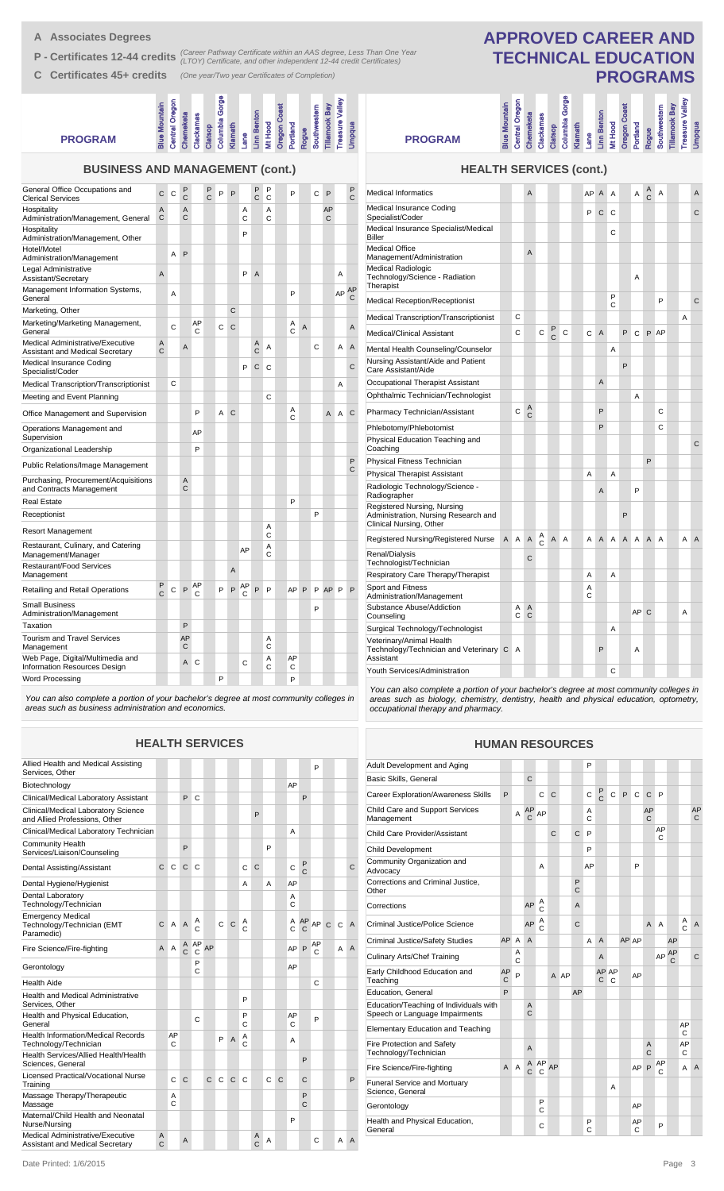**A Associates Degrees**

**P - Certificates 12-44 credits** (Career Pathway Certificate within an AAS degree, Less Than One Year<br> **P - Certificates 12-44 credits** (LTOY) Certificate, and other independent 12-44 credit Certificates)

**C Certificates 45+ credits** *(One year/Two year Certificates of Completion)*

| <b>Celtificates 40+ credits</b>                                            |                      |                |                   |              |                   |                                      | (One year/ I wo year Germicates or Completion) |                    |                    |                     |                    |                |              |                      |                        |                   | PRU                                                                                                                                                                 |  |                     |
|----------------------------------------------------------------------------|----------------------|----------------|-------------------|--------------|-------------------|--------------------------------------|------------------------------------------------|--------------------|--------------------|---------------------|--------------------|----------------|--------------|----------------------|------------------------|-------------------|---------------------------------------------------------------------------------------------------------------------------------------------------------------------|--|---------------------|
| <b>PROGRAM</b>                                                             | <b>Blue Mountain</b> | Central Oregon | Chemeketa         | Clackamas    |                   | Clatsop<br>Columbia Gorge<br>Klamath | Lane                                           | <b>Linn Benton</b> | Mt Hood            | <b>Dregon Coast</b> | Portland           | Rogue          | Southwestern | <b>Tillamook Bay</b> | <b>Treasure Valley</b> | Umpqua            | Columbia Gorge<br>Central Oregon<br><b>Blue Mountain</b><br><b>Linn Benton</b><br>Chemeketa<br>Clackamas<br>Mt Hood<br>Klamath<br>Clatsop<br>Lane<br><b>PROGRAM</b> |  | <b>Oregon Coast</b> |
| <b>BUSINESS AND MANAGEMENT (cont.)</b>                                     |                      |                |                   |              |                   |                                      |                                                |                    |                    |                     |                    |                |              |                      |                        |                   | <b>HEALTH SERVICES (cont.)</b>                                                                                                                                      |  |                     |
| General Office Occupations and<br><b>Clerical Services</b>                 | C                    | $\mathbf C$    | P<br>$\mathsf{C}$ |              | P<br>$\mathsf{C}$ | P                                    | P                                              | Ρ<br>$\mathsf{C}$  | $_{\rm c}^{\rm P}$ |                     | P                  |                | С            | P                    |                        | P<br>$\mathsf{C}$ | A<br><b>Medical Informatics</b><br>AP<br>$\mathsf{A}$<br>A                                                                                                          |  |                     |
| Hospitality<br>Administration/Management, General                          | Α<br>С               |                | A<br>C            |              |                   |                                      | Α<br>$\mathbf C$                               |                    | Α<br>$\mathbf C$   |                     |                    |                |              | AP<br>C              |                        |                   | Medical Insurance Coding<br>$C$ $C$<br>P<br>Specialist/Coder                                                                                                        |  |                     |
| Hospitality<br>Administration/Management, Other                            |                      |                |                   |              |                   |                                      | P                                              |                    |                    |                     |                    |                |              |                      |                        |                   | Medical Insurance Specialist/Medical<br>С<br><b>Biller</b>                                                                                                          |  |                     |
| Hotel/Motel<br>Administration/Management                                   |                      | Α              | P                 |              |                   |                                      |                                                |                    |                    |                     |                    |                |              |                      |                        |                   | <b>Medical Office</b><br>A<br>Management/Administration                                                                                                             |  |                     |
| Legal Administrative<br>Assistant/Secretary                                | Α                    |                |                   |              |                   |                                      | P                                              | $\overline{A}$     |                    |                     |                    |                |              |                      | Α                      |                   | <b>Medical Radiologic</b><br>Technology/Science - Radiation                                                                                                         |  |                     |
| Management Information Systems,<br>General                                 |                      | Α              |                   |              |                   |                                      |                                                |                    |                    |                     | P                  |                |              |                      |                        | AP AP<br>С        | Therapist<br>P<br><b>Medical Reception/Receptionist</b><br>C                                                                                                        |  |                     |
| Marketing, Other                                                           |                      |                |                   |              |                   |                                      | C                                              |                    |                    |                     |                    |                |              |                      |                        |                   | C<br>Medical Transcription/Transcriptionist                                                                                                                         |  |                     |
| Marketing/Marketing Management,<br>General                                 |                      | $\mathsf C$    |                   | AP<br>C      |                   | C                                    | $\mathbf C$                                    |                    |                    |                     | $_{\rm C}^{\rm A}$ | $\overline{A}$ |              |                      |                        | A                 | $_{\rm C}^{\rm P}$<br>$\mathbf C$<br>$\mathsf C$<br><b>Medical/Clinical Assistant</b><br>$\mathbf C$<br>С<br>$\overline{A}$                                         |  | P                   |
| Medical Administrative/Executive<br><b>Assistant and Medical Secretary</b> | Α<br>$\mathsf{C}$    |                | Α                 |              |                   |                                      |                                                | Α<br>$\mathsf{C}$  | Α                  |                     |                    |                | С            |                      | Α                      | A                 | Mental Health Counseling/Counselor<br>Α                                                                                                                             |  |                     |
| Medical Insurance Coding<br>Specialist/Coder                               |                      |                |                   |              |                   |                                      | P                                              |                    | $C$ $C$            |                     |                    |                |              |                      |                        | $\mathsf{C}$      | Nursing Assistant/Aide and Patient<br>Care Assistant/Aide                                                                                                           |  | P                   |
| <b>Medical Transcription/Transcriptionist</b>                              |                      | $\mathsf{C}$   |                   |              |                   |                                      |                                                |                    |                    |                     |                    |                |              |                      | Α                      |                   | Occupational Therapist Assistant<br>Α                                                                                                                               |  |                     |
| Meeting and Event Planning                                                 |                      |                |                   |              |                   |                                      |                                                |                    | $\mathsf{C}$       |                     |                    |                |              |                      |                        |                   | Ophthalmic Technician/Technologist                                                                                                                                  |  |                     |
| Office Management and Supervision                                          |                      |                |                   | P            |                   | A C                                  |                                                |                    |                    |                     | Α<br>$\mathsf{C}$  |                |              | A                    | $\mathsf{A}$           | $\mathbf C$       | A<br>C<br>$\mathbf C$<br>P<br>Pharmacy Technician/Assistant                                                                                                         |  |                     |
| Operations Management and<br>Supervision                                   |                      |                |                   | AP           |                   |                                      |                                                |                    |                    |                     |                    |                |              |                      |                        |                   | P<br>Phlebotomy/Phlebotomist                                                                                                                                        |  |                     |
| Organizational Leadership                                                  |                      |                |                   | P            |                   |                                      |                                                |                    |                    |                     |                    |                |              |                      |                        |                   | Physical Education Teaching and<br>Coaching                                                                                                                         |  |                     |
| Public Relations/Image Management                                          |                      |                |                   |              |                   |                                      |                                                |                    |                    |                     |                    |                |              |                      |                        | P                 | Physical Fitness Technician                                                                                                                                         |  |                     |
| Purchasing, Procurement/Acquisitions                                       |                      |                | Α                 |              |                   |                                      |                                                |                    |                    |                     |                    |                |              |                      |                        | $\mathsf C$       | A<br><b>Physical Therapist Assistant</b><br>Α                                                                                                                       |  |                     |
| and Contracts Management                                                   |                      |                | $\mathsf C$       |              |                   |                                      |                                                |                    |                    |                     |                    |                |              |                      |                        |                   | Radiologic Technology/Science -<br>A<br>Radiographer                                                                                                                |  |                     |
| Real Estate                                                                |                      |                |                   |              |                   |                                      |                                                |                    |                    |                     | P                  |                |              |                      |                        |                   | Registered Nursing, Nursing                                                                                                                                         |  |                     |
| Receptionist                                                               |                      |                |                   |              |                   |                                      |                                                |                    |                    |                     |                    |                | P            |                      |                        |                   | Administration, Nursing Research and                                                                                                                                |  | P                   |
| Resort Management                                                          |                      |                |                   |              |                   |                                      |                                                |                    | Α<br>C             |                     |                    |                |              |                      |                        |                   | Clinical Nursing, Other<br>$_{\rm c}^{\rm A}$<br>$\,$ A<br>A A<br>Registered Nursing/Registered Nurse<br>A A<br>A A                                                 |  | A A                 |
| Restaurant, Culinary, and Catering<br>Management/Manager                   |                      |                |                   |              |                   |                                      | AP                                             |                    | Α<br>С             |                     |                    |                |              |                      |                        |                   | Renal/Dialysis<br>C                                                                                                                                                 |  |                     |
| <b>Restaurant/Food Services</b>                                            |                      |                |                   |              |                   |                                      | A                                              |                    |                    |                     |                    |                |              |                      |                        |                   | Technologist/Technician                                                                                                                                             |  |                     |
| Management                                                                 |                      |                |                   | AP           |                   |                                      |                                                |                    |                    |                     |                    |                |              |                      |                        |                   | Respiratory Care Therapy/Therapist<br>Α<br>Α<br>Sport and Fitness<br>Α                                                                                              |  |                     |
| Retailing and Retail Operations                                            | $_{\rm C}^{\rm P}$   | C              | P                 | $\mathsf{C}$ |                   | P                                    | AC<br>$\mathsf P$                              | $\mathsf P$        | P                  |                     | AP P               |                | P            | AP P                 |                        | P                 | C<br>Administration/Management                                                                                                                                      |  |                     |
| Small Business<br>Administration/Management                                |                      |                |                   |              |                   |                                      |                                                |                    |                    |                     |                    |                | P            |                      |                        |                   | Substance Abuse/Addiction<br>A A<br>c c<br>Counseling                                                                                                               |  |                     |
| Taxation                                                                   |                      |                | P                 |              |                   |                                      |                                                |                    |                    |                     |                    |                |              |                      |                        |                   | Surgical Technology/Technologist<br>Α                                                                                                                               |  |                     |
| <b>Tourism and Travel Services</b><br>Management                           |                      |                | AP<br>C           |              |                   |                                      |                                                |                    | Α<br>С             |                     |                    |                |              |                      |                        |                   | Veterinary/Animal Health<br>P<br>Technology/Technician and Veterinary C A                                                                                           |  |                     |
| Web Page, Digital/Multimedia and<br>Information Resources Design           |                      |                |                   | A C          |                   |                                      | С                                              |                    | Α<br>С             |                     | AP<br>C            |                |              |                      |                        |                   | Assistant<br>С<br>Youth Services/Administration                                                                                                                     |  |                     |
| Word Processing                                                            |                      |                |                   |              |                   | P                                    |                                                |                    |                    |                     | P                  |                |              |                      |                        |                   |                                                                                                                                                                     |  |                     |
|                                                                            |                      |                |                   |              |                   |                                      |                                                |                    |                    |                     |                    |                |              |                      |                        |                   | You can also complete a portion of your bachelor's degree at most com                                                                                               |  |                     |

*You can also complete a portion of your bachelor's degree at most community colleges in areas such as business administration and economics.*

#### **HEALTH SERVICES**

| Allied Health and Medical Assisting<br>Services, Other                     |        |         |                     |                    |    |   |              |        |              |   |              |         |                    | P       |              |              |   |
|----------------------------------------------------------------------------|--------|---------|---------------------|--------------------|----|---|--------------|--------|--------------|---|--------------|---------|--------------------|---------|--------------|--------------|---|
| Biotechnology                                                              |        |         |                     |                    |    |   |              |        |              |   |              | AP      |                    |         |              |              |   |
| Clinical/Medical Laboratory Assistant                                      |        |         | P                   | C                  |    |   |              |        |              |   |              |         | P                  |         |              |              |   |
| Clinical/Medical Laboratory Science<br>and Allied Professions. Other       |        |         |                     |                    |    |   |              |        | P            |   |              |         |                    |         |              |              |   |
| Clinical/Medical Laboratory Technician                                     |        |         |                     |                    |    |   |              |        |              |   |              | A       |                    |         |              |              |   |
| <b>Community Health</b><br>Services/Liaison/Counseling                     |        |         | P                   |                    |    |   |              |        |              | P |              |         |                    |         |              |              |   |
| Dental Assisting/Assistant                                                 | C      | C       | $\mathsf{C}$        | C                  |    |   |              | C      | $\mathsf{C}$ |   |              | C       | P<br>$\mathsf{C}$  |         |              |              | C |
| Dental Hygiene/Hygienist                                                   |        |         |                     |                    |    |   |              | Α      |              | A |              | AP      |                    |         |              |              |   |
| Dental Laboratory<br>Technology/Technician                                 |        |         |                     |                    |    |   |              |        |              |   |              | A<br>C  |                    |         |              |              |   |
| <b>Emergency Medical</b><br>Technology/Technician (EMT<br>Paramedic)       | C      | A       | $\overline{A}$      | $_{\rm C}^{\rm A}$ |    | C | $\mathsf{C}$ | Α<br>Ċ |              |   |              | Α<br>C  | AP<br>$\mathsf{C}$ | AP      | $\mathsf{C}$ | $\mathsf{C}$ | A |
| Fire Science/Fire-fighting                                                 | A      | A       | Α<br>$\overline{C}$ | AP<br>С            | AP |   |              |        |              |   |              | AP P    |                    | AP<br>C |              | A            | A |
| Gerontology                                                                |        |         |                     | P<br>C             |    |   |              |        |              |   |              | AP      |                    |         |              |              |   |
| <b>Health Aide</b>                                                         |        |         |                     |                    |    |   |              |        |              |   |              |         |                    | Ċ       |              |              |   |
| Health and Medical Administrative<br>Services, Other                       |        |         |                     |                    |    |   |              | P      |              |   |              |         |                    |         |              |              |   |
| Health and Physical Education,<br>General                                  |        |         |                     | C                  |    |   |              | P<br>C |              |   |              | AP<br>C |                    | P       |              |              |   |
| <b>Health Information/Medical Records</b><br>Technology/Technician         |        | AP<br>C |                     |                    |    | P | A            | Α<br>C |              |   |              | A       |                    |         |              |              |   |
| Health Services/Allied Health/Health<br>Sciences, General                  |        |         |                     |                    |    |   |              |        |              |   |              |         | P                  |         |              |              |   |
| Licensed Practical/Vocational Nurse<br>Training                            |        | Ċ       | $\mathsf{C}$        |                    | Ċ  | C | $\mathsf{C}$ | C      |              | Ċ | $\mathsf{C}$ |         | C                  |         |              |              | P |
| Massage Therapy/Therapeutic<br>Massage                                     |        | Α<br>C  |                     |                    |    |   |              |        |              |   |              |         | P<br>C             |         |              |              |   |
| Maternal/Child Health and Neonatal<br>Nurse/Nursing                        |        |         |                     |                    |    |   |              |        |              |   |              | P       |                    |         |              |              |   |
| Medical Administrative/Executive<br><b>Assistant and Medical Secretary</b> | A<br>C |         | A                   |                    |    |   |              |        | Α<br>C       | A |              |         |                    | Ċ       |              | A            | A |

## **APPROVED CAREER AND TECHNICAL EDUCATION PROGRAMS**

| <b>PROGRAM</b>                                                                                 | 3lue Mountain | Central Oregor | Chemeketa | Clackamas | Clatsop             | Columbia Gorge | Klamath | Lane   | Linn Benton    | Mt Hood | <b>Oregon Coast</b> | Portland | Rogue        | Southwestern | <b>Tillamook Bay</b> | Treasure Valley | <b>Pubdua</b> |
|------------------------------------------------------------------------------------------------|---------------|----------------|-----------|-----------|---------------------|----------------|---------|--------|----------------|---------|---------------------|----------|--------------|--------------|----------------------|-----------------|---------------|
| <b>HEALTH SERVICES (cont.)</b>                                                                 |               |                |           |           |                     |                |         |        |                |         |                     |          |              |              |                      |                 |               |
| <b>Medical Informatics</b>                                                                     |               |                | A         |           |                     |                |         | AP     | A              | A       |                     | A        | A<br>Ċ       | A            |                      |                 | A             |
| Medical Insurance Coding<br>Specialist/Coder                                                   |               |                |           |           |                     |                |         | P      | C              | C       |                     |          |              |              |                      |                 | C             |
| Medical Insurance Specialist/Medical<br><b>Biller</b>                                          |               |                |           |           |                     |                |         |        |                | С       |                     |          |              |              |                      |                 |               |
| <b>Medical Office</b><br>Management/Administration                                             |               |                | A         |           |                     |                |         |        |                |         |                     |          |              |              |                      |                 |               |
| Medical Radiologic<br>Technology/Science - Radiation<br>Therapist                              |               |                |           |           |                     |                |         |        |                |         |                     | A        |              |              |                      |                 |               |
| <b>Medical Reception/Receptionist</b>                                                          |               |                |           |           |                     |                |         |        |                | P<br>C  |                     |          |              | P            |                      |                 | C             |
| Medical Transcription/Transcriptionist                                                         |               | C              |           |           |                     |                |         |        |                |         |                     |          |              |              |                      | A               |               |
| <b>Medical/Clinical Assistant</b>                                                              |               | C              |           | Ċ         | P<br>$\overline{C}$ | C              |         | C      | $\overline{A}$ |         | P                   | C        | P            | AP           |                      |                 |               |
| Mental Health Counseling/Counselor                                                             |               |                |           |           |                     |                |         |        |                | Α       |                     |          |              |              |                      |                 |               |
| Nursing Assistant/Aide and Patient<br>Care Assistant/Aide                                      |               |                |           |           |                     |                |         |        |                |         | P                   |          |              |              |                      |                 |               |
| Occupational Therapist Assistant                                                               |               |                |           |           |                     |                |         |        | A              |         |                     |          |              |              |                      |                 |               |
| Ophthalmic Technician/Technologist                                                             |               |                |           |           |                     |                |         |        |                |         |                     | A        |              |              |                      |                 |               |
| Pharmacy Technician/Assistant                                                                  |               | C              | Α<br>Ċ    |           |                     |                |         |        | P              |         |                     |          |              | C            |                      |                 |               |
| Phlebotomy/Phlebotomist                                                                        |               |                |           |           |                     |                |         |        | P              |         |                     |          |              | C            |                      |                 |               |
| Physical Education Teaching and<br>Coaching                                                    |               |                |           |           |                     |                |         |        |                |         |                     |          |              |              |                      |                 | C             |
| Physical Fitness Technician                                                                    |               |                |           |           |                     |                |         |        |                |         |                     |          | P            |              |                      |                 |               |
| <b>Physical Therapist Assistant</b>                                                            |               |                |           |           |                     |                |         | A      |                | A       |                     |          |              |              |                      |                 |               |
| Radiologic Technology/Science -<br>Radiographer                                                |               |                |           |           |                     |                |         |        | A              |         |                     | P        |              |              |                      |                 |               |
| Registered Nursing, Nursing<br>Administration, Nursing Research and<br>Clinical Nursing, Other |               |                |           |           |                     |                |         |        |                |         | P                   |          |              |              |                      |                 |               |
| Registered Nursing/Registered Nurse                                                            | A             | A              | Α         | Α<br>Ċ    | A                   | A              |         | A      | A              | A       | A                   | A        | A            | A            |                      | A               | A             |
| Renal/Dialysis<br>Technologist/Technician                                                      |               |                | Ċ         |           |                     |                |         |        |                |         |                     |          |              |              |                      |                 |               |
| Respiratory Care Therapy/Therapist                                                             |               |                |           |           |                     |                |         | A      |                | A       |                     |          |              |              |                      |                 |               |
| <b>Sport and Fitness</b><br>Administration/Management                                          |               |                |           |           |                     |                |         | Α<br>C |                |         |                     |          |              |              |                      |                 |               |
| Substance Abuse/Addiction<br>Counseling                                                        |               | Α<br>C         | A<br>C    |           |                     |                |         |        |                |         |                     | AP       | $\mathsf{C}$ |              |                      | Α               |               |
| Surgical Technology/Technologist                                                               |               |                |           |           |                     |                |         |        |                | Α       |                     |          |              |              |                      |                 |               |
| Veterinary/Animal Health<br>Technology/Technician and Veterinary C<br>Assistant                |               | A              |           |           |                     |                |         |        | P              |         |                     | Α        |              |              |                      |                 |               |

*You can also complete a portion of your bachelor's degree at most community colleges in areas such as biology, chemistry, dentistry, health and physical education, optometry, occupational therapy and pharmacy.*

#### **HUMAN RESOURCES**

| Adult Development and Aging                                              |         |        |                      |         |    |      |              | P      |               |              |   |         |                |         |    |                     |                |
|--------------------------------------------------------------------------|---------|--------|----------------------|---------|----|------|--------------|--------|---------------|--------------|---|---------|----------------|---------|----|---------------------|----------------|
| <b>Basic Skills, General</b>                                             |         |        | C                    |         |    |      |              |        |               |              |   |         |                |         |    |                     |                |
| <b>Career Exploration/Awareness Skills</b>                               | P       |        |                      | C       | C  |      |              | C      | $\frac{P}{C}$ | $\mathsf{C}$ | P | C       | C              | P       |    |                     |                |
| Child Care and Support Services<br>Management                            |         | A      | AP<br>$\overline{C}$ | AP      |    |      |              | A<br>C |               |              |   |         | AP<br>C        |         |    |                     | AP<br>C        |
| Child Care Provider/Assistant                                            |         |        |                      |         | C  |      | $\mathsf{C}$ | P      |               |              |   |         |                | AP<br>C |    |                     |                |
| <b>Child Development</b>                                                 |         |        |                      |         |    |      |              | P      |               |              |   |         |                |         |    |                     |                |
| Community Organization and<br>Advocacy                                   |         |        |                      | A       |    |      |              | AP     |               |              |   | P       |                |         |    |                     |                |
| Corrections and Criminal Justice,<br>Other                               |         |        |                      |         |    |      | P<br>Ċ       |        |               |              |   |         |                |         |    |                     |                |
| Corrections                                                              |         |        | AP                   | Α<br>Ċ  |    |      | A            |        |               |              |   |         |                |         |    |                     |                |
| Criminal Justice/Police Science                                          |         |        | AP                   | A<br>Ċ  |    |      | C            |        |               |              |   |         | $\overline{A}$ | A       |    | Α<br>$\overline{C}$ | $\overline{A}$ |
| <b>Criminal Justice/Safety Studies</b>                                   | AP      | A      | A                    |         |    |      |              | А      | A             |              |   | AP AP   |                |         | AP |                     |                |
| <b>Culinary Arts/Chef Training</b>                                       |         | A<br>C |                      |         |    |      |              |        | A             |              |   |         |                | AP      | AP |                     | $\mathsf{C}$   |
| Early Childhood Education and<br>Teaching                                | AP<br>C | P      |                      |         |    | A AP |              |        | C             | AP AP<br>C   |   | AP      |                |         |    |                     |                |
| <b>Education, General</b>                                                | P       |        |                      |         |    |      | AP           |        |               |              |   |         |                |         |    |                     |                |
| Education/Teaching of Individuals with<br>Speech or Language Impairments |         |        | A<br>C               |         |    |      |              |        |               |              |   |         |                |         |    |                     |                |
| Elementary Education and Teaching                                        |         |        |                      |         |    |      |              |        |               |              |   |         |                |         |    | AP<br>C             |                |
| Fire Protection and Safety<br>Technology/Technician                      |         |        | A                    |         |    |      |              |        |               |              |   |         | A<br>Ċ         |         |    | AP<br>C             |                |
| Fire Science/Fire-fighting                                               | A       | A      | Α<br>$\overline{C}$  | AP<br>C | AP |      |              |        |               |              |   | AP      | P              | AP<br>C |    | А                   | $\overline{A}$ |
| <b>Funeral Service and Mortuary</b><br>Science, General                  |         |        |                      |         |    |      |              |        |               | A            |   |         |                |         |    |                     |                |
| Gerontology                                                              |         |        |                      | P<br>Ċ  |    |      |              |        |               |              |   | AP      |                |         |    |                     |                |
| Health and Physical Education,<br>General                                |         |        |                      | C       |    |      |              | P<br>Ć |               |              |   | AP<br>C |                | P       |    |                     |                |